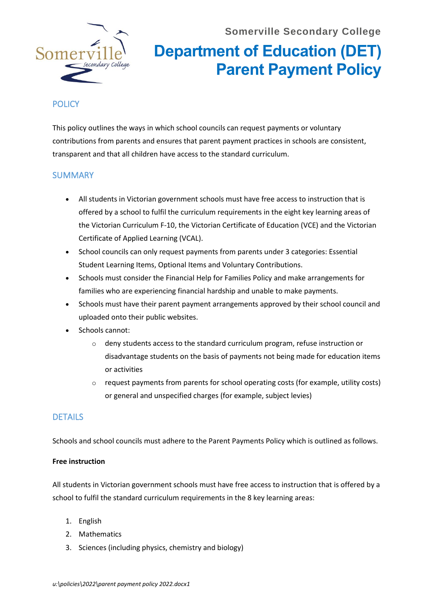

# **Department of Education (DET) Parent Payment Policy**

## **POLICY**

This policy outlines the ways in which school councils can request payments or voluntary contributions from parents and ensures that parent payment practices in schools are consistent, transparent and that all children have access to the standard curriculum.

### SUMMARY

- All students in Victorian government schools must have free access to instruction that is offered by a school to fulfil the curriculum requirements in the eight key learning areas of the Victorian Curriculum F-10, the Victorian Certificate of Education (VCE) and the Victorian Certificate of Applied Learning (VCAL).
- School councils can only request payments from parents under 3 categories: Essential Student Learning Items, Optional Items and Voluntary Contributions.
- Schools must consider th[e Financial Help for Families Policy](https://www2.education.vic.gov.au/pal/financial-help-families/policy) and make arrangements for families who are experiencing financial hardship and unable to make payments.
- Schools must have their parent payment arrangements approved by their school council and uploaded onto their public websites.
- Schools cannot:
	- $\circ$  deny students access to the standard curriculum program, refuse instruction or disadvantage students on the basis of payments not being made for education items or activities
	- $\circ$  request payments from parents for school operating costs (for example, utility costs) or general and unspecified charges (for example, subject levies)

### DETAILS

Schools and school councils must adhere to the Parent Payments Policy which is outlined as follows.

#### **Free instruction**

All students in Victorian government schools must have free access to instruction that is offered by a school to fulfil the standard curriculum requirements in the 8 key learning areas:

- 1. English
- 2. Mathematics
- 3. Sciences (including physics, chemistry and biology)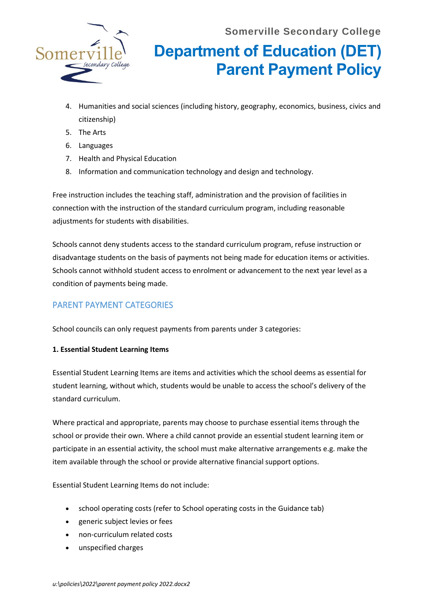

# **Department of Education (DET) Parent Payment Policy**

- 4. Humanities and social sciences (including history, geography, economics, business, civics and citizenship)
- 5. The Arts
- 6. Languages
- 7. Health and Physical Education
- 8. Information and communication technology and design and technology.

Free instruction includes the teaching staff, administration and the provision of facilities in connection with the instruction of the standard curriculum program, including reasonable adjustments for students with disabilities.

Schools cannot deny students access to the standard curriculum program, refuse instruction or disadvantage students on the basis of payments not being made for education items or activities. Schools cannot withhold student access to enrolment or advancement to the next year level as a condition of payments being made.

## PARENT PAYMENT CATEGORIES

School councils can only request payments from parents under 3 categories:

### **1. Essential Student Learning Items**

Essential Student Learning Items are items and activities which the school deems as essential for student learning, without which, students would be unable to access the school's delivery of the standard curriculum.

Where practical and appropriate, parents may choose to purchase essential items through the school or provide their own. Where a child cannot provide an essential student learning item or participate in an essential activity, the school must make alternative arrangements e.g. make the item available through the school or provide alternative financial support options.

Essential Student Learning Items do not include:

- school operating costs (refer to School operating costs in th[e Guidance](https://www2.education.vic.gov.au/pal/parent-payment/guidance) tab)
- generic subject levies or fees
- non-curriculum related costs
- unspecified charges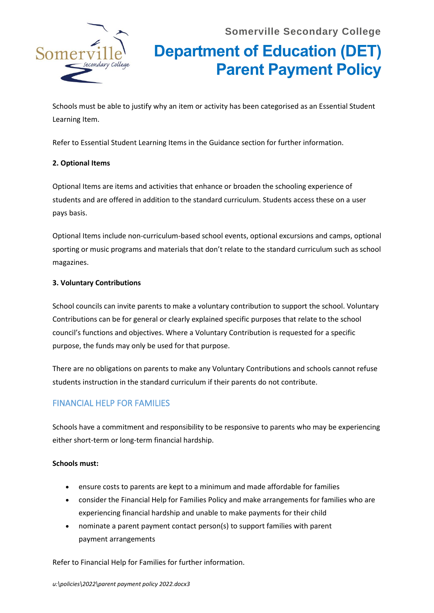

# **Department of Education (DET) Parent Payment Policy**

Schools must be able to justify why an item or activity has been categorised as an Essential Student Learning Item.

Refer to Essential Student Learning Items in the Guidance section for further information.

#### **2. Optional Items**

Optional Items are items and activities that enhance or broaden the schooling experience of students and are offered in addition to the standard curriculum. Students access these on a user pays basis.

Optional Items include non-curriculum-based school events, optional excursions and camps, optional sporting or music programs and materials that don't relate to the standard curriculum such as school magazines.

#### **3. Voluntary Contributions**

School councils can invite parents to make a voluntary contribution to support the school. Voluntary Contributions can be for general or clearly explained specific purposes that relate to the school council's functions and objectives. Where a Voluntary Contribution is requested for a specific purpose, the funds may only be used for that purpose.

There are no obligations on parents to make any Voluntary Contributions and schools cannot refuse students instruction in the standard curriculum if their parents do not contribute.

## FINANCIAL HELP FOR FAMILIES

Schools have a commitment and responsibility to be responsive to parents who may be experiencing either short-term or long-term financial hardship.

#### **Schools must:**

- ensure costs to parents are kept to a minimum and made affordable for families
- consider the Financial Help for Families Policy and make arrangements for families who are experiencing financial hardship and unable to make payments for their child
- nominate a parent payment contact person(s) to support families with parent payment arrangements

Refer t[o Financial Help for Families](https://www2.education.vic.gov.au/pal/financial-help-families/policy) for further information.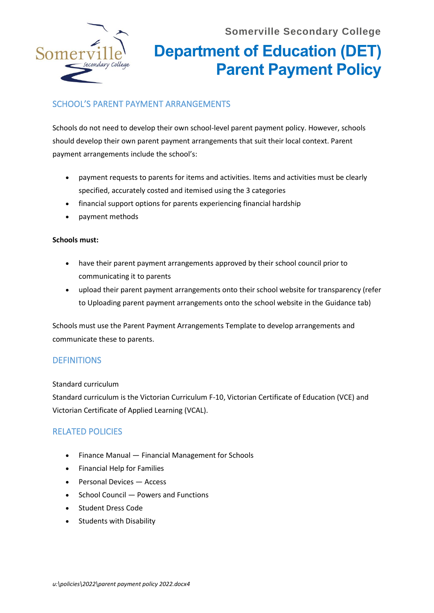

# **Department of Education (DET) Parent Payment Policy**

## SCHOOL'S PARENT PAYMENT ARRANGEMENTS

Schools do not need to develop their own school-level parent payment policy. However, schools should develop their own parent payment arrangements that suit their local context. Parent payment arrangements include the school's:

- payment requests to parents for items and activities. Items and activities must be clearly specified, accurately costed and itemised using the 3 categories
- financial support options for parents experiencing financial hardship
- payment methods

#### **Schools must:**

- have their parent payment arrangements approved by their school council prior to communicating it to parents
- upload their parent payment arrangements onto their school website for transparency (refer to Uploading parent payment arrangements onto the school website in the [Guidance](https://www2.education.vic.gov.au/pal/parent-payment/guidance) tab)

Schools must use the [Parent Payment Arrangements Template](https://content.sdp.education.vic.gov.au/sites/default/files/2020-08/Parent-Payments-Arrangements-template-2020_2.docx) to develop arrangements and communicate these to parents.

### **DEFINITIONS**

Standard curriculum

Standard curriculum is the Victorian Curriculum F-10, Victorian Certificate of Education (VCE) and Victorian Certificate of Applied Learning (VCAL).

### RELATED POLICIES

- Finance Manual [Financial Management for Schools](https://www2.education.vic.gov.au/pal/finance-manual/policy)
- [Financial Help for Families](https://www2.education.vic.gov.au/pal/financial-help-families/policy)
- [Personal Devices](https://www2.education.vic.gov.au/pal/personal-devices/policy)  Access
- School Council [Powers and Functions](https://www2.education.vic.gov.au/pal/school-council-powers-and-functions/policy)
- [Student Dress Code](https://www2.education.vic.gov.au/pal/student-dress-code/policy)
- [Students with Disability](https://www2.education.vic.gov.au/pal/students-disability/policy)